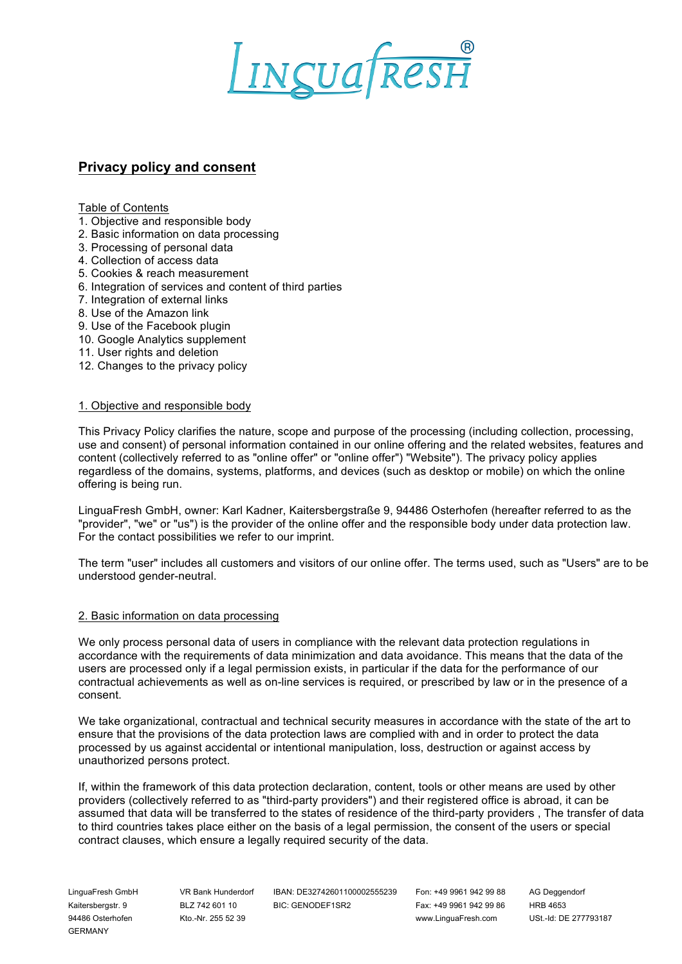

# **Privacy policy and consent**

Table of Contents

- 1. Objective and responsible body
- 2. Basic information on data processing
- 3. Processing of personal data
- 4. Collection of access data
- 5. Cookies & reach measurement
- 6. Integration of services and content of third parties
- 7. Integration of external links
- 8. Use of the Amazon link
- 9. Use of the Facebook plugin
- 10. Google Analytics supplement
- 11. User rights and deletion
- 12. Changes to the privacy policy

#### 1. Objective and responsible body

This Privacy Policy clarifies the nature, scope and purpose of the processing (including collection, processing, use and consent) of personal information contained in our online offering and the related websites, features and content (collectively referred to as "online offer" or "online offer") "Website"). The privacy policy applies regardless of the domains, systems, platforms, and devices (such as desktop or mobile) on which the online offering is being run.

LinguaFresh GmbH, owner: Karl Kadner, Kaitersbergstraße 9, 94486 Osterhofen (hereafter referred to as the "provider", "we" or "us") is the provider of the online offer and the responsible body under data protection law. For the contact possibilities we refer to our imprint.

The term "user" includes all customers and visitors of our online offer. The terms used, such as "Users" are to be understood gender-neutral.

#### 2. Basic information on data processing

We only process personal data of users in compliance with the relevant data protection regulations in accordance with the requirements of data minimization and data avoidance. This means that the data of the users are processed only if a legal permission exists, in particular if the data for the performance of our contractual achievements as well as on-line services is required, or prescribed by law or in the presence of a consent.

We take organizational, contractual and technical security measures in accordance with the state of the art to ensure that the provisions of the data protection laws are complied with and in order to protect the data processed by us against accidental or intentional manipulation, loss, destruction or against access by unauthorized persons protect.

If, within the framework of this data protection declaration, content, tools or other means are used by other providers (collectively referred to as "third-party providers") and their registered office is abroad, it can be assumed that data will be transferred to the states of residence of the third-party providers , The transfer of data to third countries takes place either on the basis of a legal permission, the consent of the users or special contract clauses, which ensure a legally required security of the data.

GERMANY

LinguaFresh GmbH VR Bank Hunderdorf IBAN: DE32742601100002555239 Fon: +49 9961 942 99 88 AG Deggendorf Kaitersbergstr. 9 BLZ 742 601 10 BIC: GENODEF1SR2 Fax: +49 9961 942 99 86 HRB 4653

94486 Osterhofen Kto.-Nr. 255 52 39 www.LinguaFresh.com USt.-Id: DE 277793187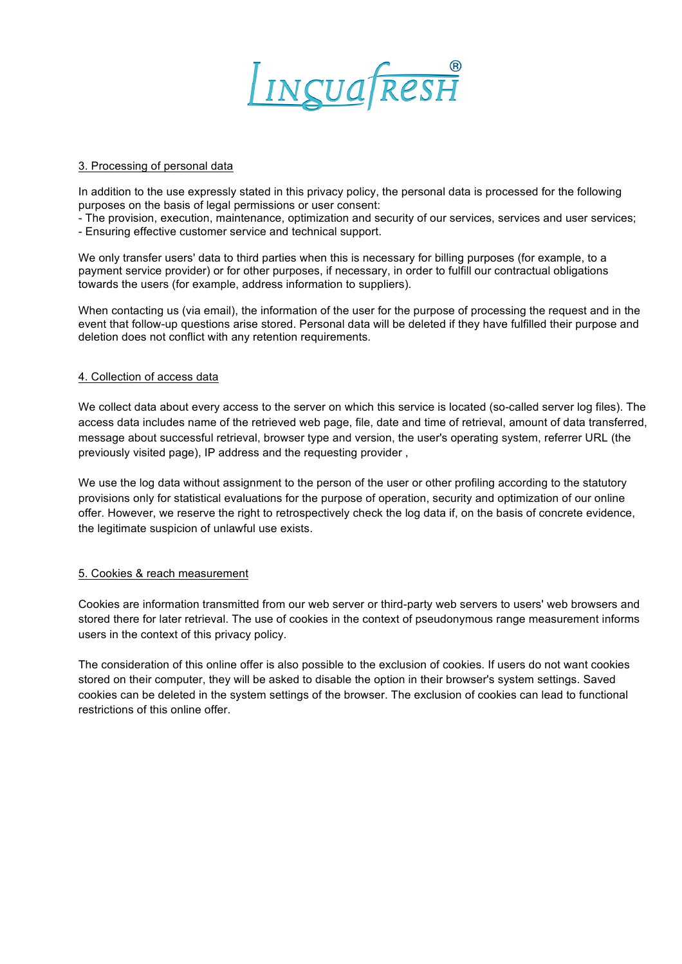

## 3. Processing of personal data

In addition to the use expressly stated in this privacy policy, the personal data is processed for the following purposes on the basis of legal permissions or user consent:

- The provision, execution, maintenance, optimization and security of our services, services and user services;

- Ensuring effective customer service and technical support.

We only transfer users' data to third parties when this is necessary for billing purposes (for example, to a payment service provider) or for other purposes, if necessary, in order to fulfill our contractual obligations towards the users (for example, address information to suppliers).

When contacting us (via email), the information of the user for the purpose of processing the request and in the event that follow-up questions arise stored. Personal data will be deleted if they have fulfilled their purpose and deletion does not conflict with any retention requirements.

# 4. Collection of access data

We collect data about every access to the server on which this service is located (so-called server log files). The access data includes name of the retrieved web page, file, date and time of retrieval, amount of data transferred, message about successful retrieval, browser type and version, the user's operating system, referrer URL (the previously visited page), IP address and the requesting provider ,

We use the log data without assignment to the person of the user or other profiling according to the statutory provisions only for statistical evaluations for the purpose of operation, security and optimization of our online offer. However, we reserve the right to retrospectively check the log data if, on the basis of concrete evidence, the legitimate suspicion of unlawful use exists.

# 5. Cookies & reach measurement

Cookies are information transmitted from our web server or third-party web servers to users' web browsers and stored there for later retrieval. The use of cookies in the context of pseudonymous range measurement informs users in the context of this privacy policy.

The consideration of this online offer is also possible to the exclusion of cookies. If users do not want cookies stored on their computer, they will be asked to disable the option in their browser's system settings. Saved cookies can be deleted in the system settings of the browser. The exclusion of cookies can lead to functional restrictions of this online offer.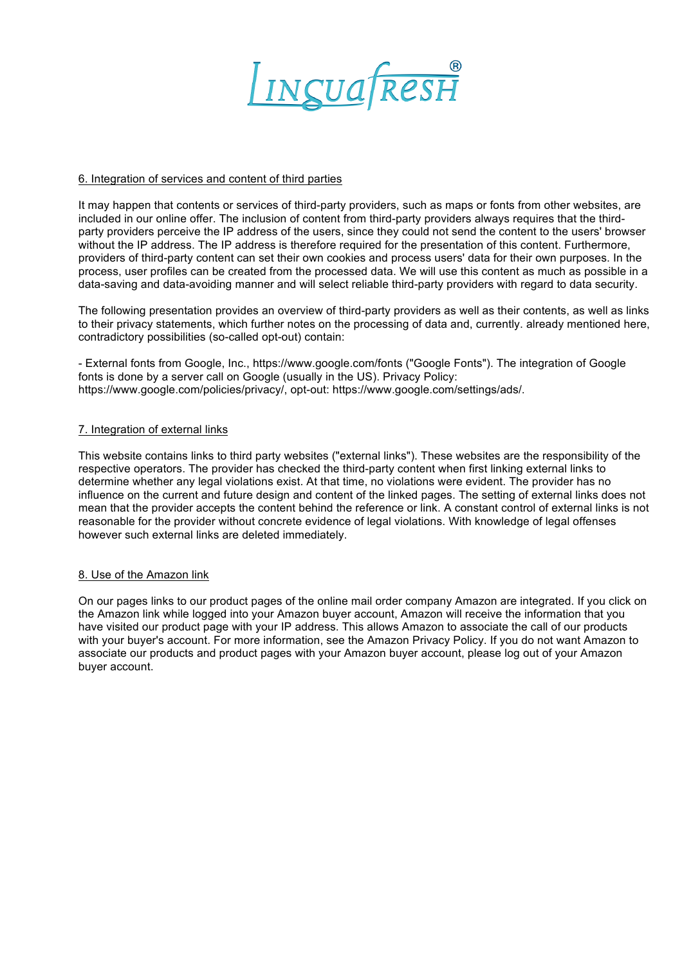

## 6. Integration of services and content of third parties

It may happen that contents or services of third-party providers, such as maps or fonts from other websites, are included in our online offer. The inclusion of content from third-party providers always requires that the thirdparty providers perceive the IP address of the users, since they could not send the content to the users' browser without the IP address. The IP address is therefore required for the presentation of this content. Furthermore, providers of third-party content can set their own cookies and process users' data for their own purposes. In the process, user profiles can be created from the processed data. We will use this content as much as possible in a data-saving and data-avoiding manner and will select reliable third-party providers with regard to data security.

The following presentation provides an overview of third-party providers as well as their contents, as well as links to their privacy statements, which further notes on the processing of data and, currently. already mentioned here, contradictory possibilities (so-called opt-out) contain:

- External fonts from Google, Inc., https://www.google.com/fonts ("Google Fonts"). The integration of Google fonts is done by a server call on Google (usually in the US). Privacy Policy: https://www.google.com/policies/privacy/, opt-out: https://www.google.com/settings/ads/.

## 7. Integration of external links

This website contains links to third party websites ("external links"). These websites are the responsibility of the respective operators. The provider has checked the third-party content when first linking external links to determine whether any legal violations exist. At that time, no violations were evident. The provider has no influence on the current and future design and content of the linked pages. The setting of external links does not mean that the provider accepts the content behind the reference or link. A constant control of external links is not reasonable for the provider without concrete evidence of legal violations. With knowledge of legal offenses however such external links are deleted immediately.

#### 8. Use of the Amazon link

On our pages links to our product pages of the online mail order company Amazon are integrated. If you click on the Amazon link while logged into your Amazon buyer account, Amazon will receive the information that you have visited our product page with your IP address. This allows Amazon to associate the call of our products with your buyer's account. For more information, see the Amazon Privacy Policy. If you do not want Amazon to associate our products and product pages with your Amazon buyer account, please log out of your Amazon buyer account.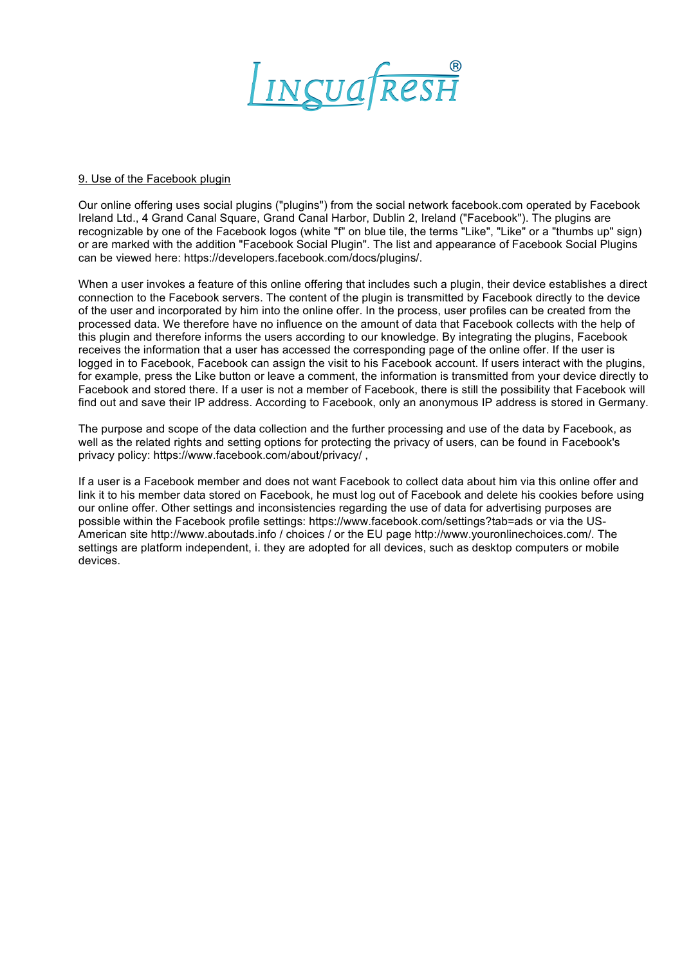

#### 9. Use of the Facebook plugin

Our online offering uses social plugins ("plugins") from the social network facebook.com operated by Facebook Ireland Ltd., 4 Grand Canal Square, Grand Canal Harbor, Dublin 2, Ireland ("Facebook"). The plugins are recognizable by one of the Facebook logos (white "f" on blue tile, the terms "Like", "Like" or a "thumbs up" sign) or are marked with the addition "Facebook Social Plugin". The list and appearance of Facebook Social Plugins can be viewed here: https://developers.facebook.com/docs/plugins/.

When a user invokes a feature of this online offering that includes such a plugin, their device establishes a direct connection to the Facebook servers. The content of the plugin is transmitted by Facebook directly to the device of the user and incorporated by him into the online offer. In the process, user profiles can be created from the processed data. We therefore have no influence on the amount of data that Facebook collects with the help of this plugin and therefore informs the users according to our knowledge. By integrating the plugins, Facebook receives the information that a user has accessed the corresponding page of the online offer. If the user is logged in to Facebook, Facebook can assign the visit to his Facebook account. If users interact with the plugins, for example, press the Like button or leave a comment, the information is transmitted from your device directly to Facebook and stored there. If a user is not a member of Facebook, there is still the possibility that Facebook will find out and save their IP address. According to Facebook, only an anonymous IP address is stored in Germany.

The purpose and scope of the data collection and the further processing and use of the data by Facebook, as well as the related rights and setting options for protecting the privacy of users, can be found in Facebook's privacy policy: https://www.facebook.com/about/privacy/,

If a user is a Facebook member and does not want Facebook to collect data about him via this online offer and link it to his member data stored on Facebook, he must log out of Facebook and delete his cookies before using our online offer. Other settings and inconsistencies regarding the use of data for advertising purposes are possible within the Facebook profile settings: https://www.facebook.com/settings?tab=ads or via the US-American site http://www.aboutads.info / choices / or the EU page http://www.youronlinechoices.com/. The settings are platform independent, i. they are adopted for all devices, such as desktop computers or mobile devices.